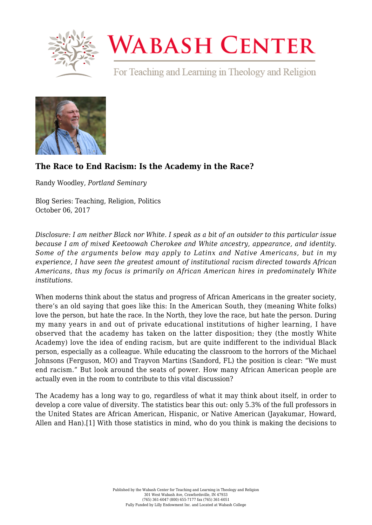

## **WABASH CENTER**

For Teaching and Learning in Theology and Religion



## **[The Race to End Racism: Is the Academy in the Race?](https://www.wabashcenter.wabash.edu/2017/10/race-end-racism-academy-race/)**

Randy Woodley, *Portland Seminary*

Blog Series: Teaching, Religion, Politics October 06, 2017

*Disclosure: I am neither Black nor White. I speak as a bit of an outsider to this particular issue because I am of mixed Keetoowah Cherokee and White ancestry, appearance, and identity. Some of the arguments below may apply to Latinx and Native Americans, but in my experience, I have seen the greatest amount of institutional racism directed towards African Americans, thus my focus is primarily on African American hires in predominately White institutions.*

When moderns think about the status and progress of African Americans in the greater society, there's an old saying that goes like this: In the American South, they (meaning White folks) love the person, but hate the race. In the North, they love the race, but hate the person. During my many years in and out of private educational institutions of higher learning, I have observed that the academy has taken on the latter disposition; they (the mostly White Academy) love the idea of ending racism, but are quite indifferent to the individual Black person, especially as a colleague. While educating the classroom to the horrors of the Michael Johnsons (Ferguson, MO) and Trayvon Martins (Sandord, FL) the position is clear: "We must end racism." But look around the seats of power. How many African American people are actually even in the room to contribute to this vital discussion?

<span id="page-0-0"></span>The Academy has a long way to go, regardless of what it may think about itself, in order to develop a core value of diversity. The statistics bear this out: only 5.3% of the full professors in the United States are African American, Hispanic, or Native American (Jayakumar, Howard, Allen and Han).[\[1\]](#page-2-0) With those statistics in mind, who do you think is making the decisions to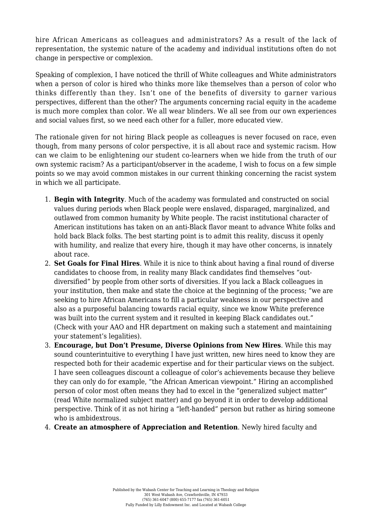hire African Americans as colleagues and administrators? As a result of the lack of representation, the systemic nature of the academy and individual institutions often do not change in perspective or complexion.

Speaking of complexion, I have noticed the thrill of White colleagues and White administrators when a person of color is hired who thinks more like themselves than a person of color who thinks differently than they. Isn't one of the benefits of diversity to garner various perspectives, different than the other? The arguments concerning racial equity in the academe is much more complex than color. We all wear blinders. We all see from our own experiences and social values first, so we need each other for a fuller, more educated view.

The rationale given for not hiring Black people as colleagues is never focused on race, even though, from many persons of color perspective, it is all about race and systemic racism. How can we claim to be enlightening our student co-learners when we hide from the truth of our own systemic racism? As a participant/observer in the academe, I wish to focus on a few simple points so we may avoid common mistakes in our current thinking concerning the racist system in which we all participate.

- 1. **Begin with Integrity**. Much of the academy was formulated and constructed on social values during periods when Black people were enslaved, disparaged, marginalized, and outlawed from common humanity by White people. The racist institutional character of American institutions has taken on an anti-Black flavor meant to advance White folks and hold back Black folks. The best starting point is to admit this reality, discuss it openly with humility, and realize that every hire, though it may have other concerns, is innately about race.
- 2. **Set Goals for Final Hires**. While it is nice to think about having a final round of diverse candidates to choose from, in reality many Black candidates find themselves "outdiversified" by people from other sorts of diversities. If you lack a Black colleagues in your institution, then make and state the choice at the beginning of the process; "we are seeking to hire African Americans to fill a particular weakness in our perspective and also as a purposeful balancing towards racial equity, since we know White preference was built into the current system and it resulted in keeping Black candidates out." (Check with your AAO and HR department on making such a statement and maintaining your statement's legalities).
- 3. **Encourage, but Don't Presume, Diverse Opinions from New Hires**. While this may sound counterintuitive to everything I have just written, new hires need to know they are respected both for their academic expertise and for their particular views on the subject. I have seen colleagues discount a colleague of color's achievements because they believe they can only do for example, "the African American viewpoint." Hiring an accomplished person of color most often means they had to excel in the "generalized subject matter" (read White normalized subject matter) and go beyond it in order to develop additional perspective. Think of it as not hiring a "left-handed" person but rather as hiring someone who is ambidextrous.
- 4. **Create an atmosphere of Appreciation and Retention**. Newly hired faculty and